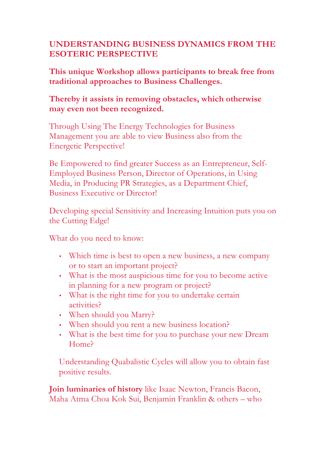## **UNDERSTANDING BUSINESS DYNAMICS FROM THE ESOTERIC PERSPECTIVE**

**This unique Workshop allows participants to break free from traditional approaches to Business Challenges.**

## **Thereby it assists in removing obstacles, which otherwise may even not been recognized.**

Through Using The Energy Technologies for Business Management you are able to view Business also from the Energetic Perspective!

Be Empowered to find greater Success as an Entrepreneur, Self-Employed Business Person, Director of Operations, in Using Media, in Producing PR Strategies, as a Department Chief, Business Executive or Director!

Developing special Sensitivity and Increasing Intuition puts you on the Cutting Edge!

What do you need to know:

- Which time is best to open a new business, a new company or to start an important project?
- What is the most auspicious time for you to become active in planning for a new program or project?
- What is the right time for you to undertake certain activities?
- When should you Marry?
- When should you rent a new business location?
- What is the best time for you to purchase your new Dream Home?

Understanding Quabalistic Cycles will allow you to obtain fast positive results.

**Join luminaries of history** like Isaac Newton, Francis Bacon, Maha Atma Choa Kok Sui, Benjamin Franklin & others – who